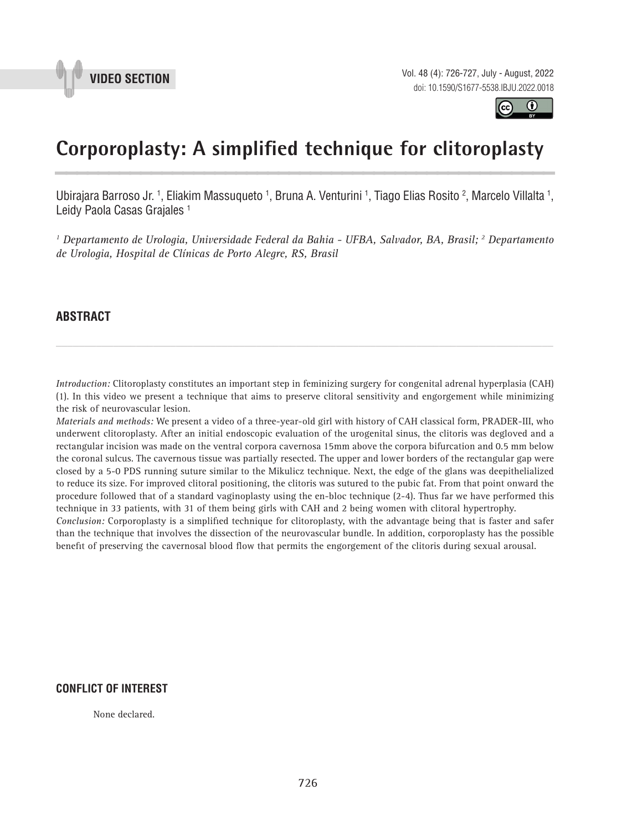



# **Corporoplasty: A simplified technique for clitoroplasty \_\_\_\_\_\_\_\_\_\_\_\_\_\_\_\_\_\_\_\_\_\_\_\_\_\_\_\_\_\_\_\_\_\_\_\_\_\_\_\_\_\_\_\_\_\_\_**

Ubirajara Barroso Jr. <sup>1</sup>, Eliakim Massuqueto <sup>1</sup>, Bruna A. Venturini <sup>1</sup>, Tiago Elias Rosito <sup>2</sup>, Marcelo Villalta <sup>1</sup>, Leidy Paola Casas Grajales<sup>1</sup>

*1 Departamento de Urologia, Universidade Federal da Bahia - UFBA, Salvador, BA, Brasil; 2 Departamento de Urologia, Hospital de Clínicas de Porto Alegre, RS, Brasil*

## **ABSTRACT**

*Introduction:* Clitoroplasty constitutes an important step in feminizing surgery for congenital adrenal hyperplasia (CAH) (1). In this video we present a technique that aims to preserve clitoral sensitivity and engorgement while minimizing the risk of neurovascular lesion.

*\_\_\_\_\_\_\_\_\_\_\_\_\_\_\_\_\_\_\_\_\_\_\_\_\_\_\_\_\_\_\_\_\_\_\_\_\_\_\_\_\_\_\_\_\_\_\_\_\_\_\_\_\_\_\_\_\_\_\_\_\_\_\_\_\_\_\_\_\_\_\_\_\_\_\_\_\_\_\_\_\_\_\_\_\_\_\_*

*Materials and methods:* We present a video of a three-year-old girl with history of CAH classical form, PRADER-III, who underwent clitoroplasty. After an initial endoscopic evaluation of the urogenital sinus, the clitoris was degloved and a rectangular incision was made on the ventral corpora cavernosa 15mm above the corpora bifurcation and 0.5 mm below the coronal sulcus. The cavernous tissue was partially resected. The upper and lower borders of the rectangular gap were closed by a 5-0 PDS running suture similar to the Mikulicz technique. Next, the edge of the glans was deepithelialized to reduce its size. For improved clitoral positioning, the clitoris was sutured to the pubic fat. From that point onward the procedure followed that of a standard vaginoplasty using the en-bloc technique (2-4). Thus far we have performed this technique in 33 patients, with 31 of them being girls with CAH and 2 being women with clitoral hypertrophy.

*Conclusion:* Corporoplasty is a simplified technique for clitoroplasty, with the advantage being that is faster and safer than the technique that involves the dissection of the neurovascular bundle. In addition, corporoplasty has the possible benefit of preserving the cavernosal blood flow that permits the engorgement of the clitoris during sexual arousal.

### **CONFLICT OF INTEREST**

None declared.